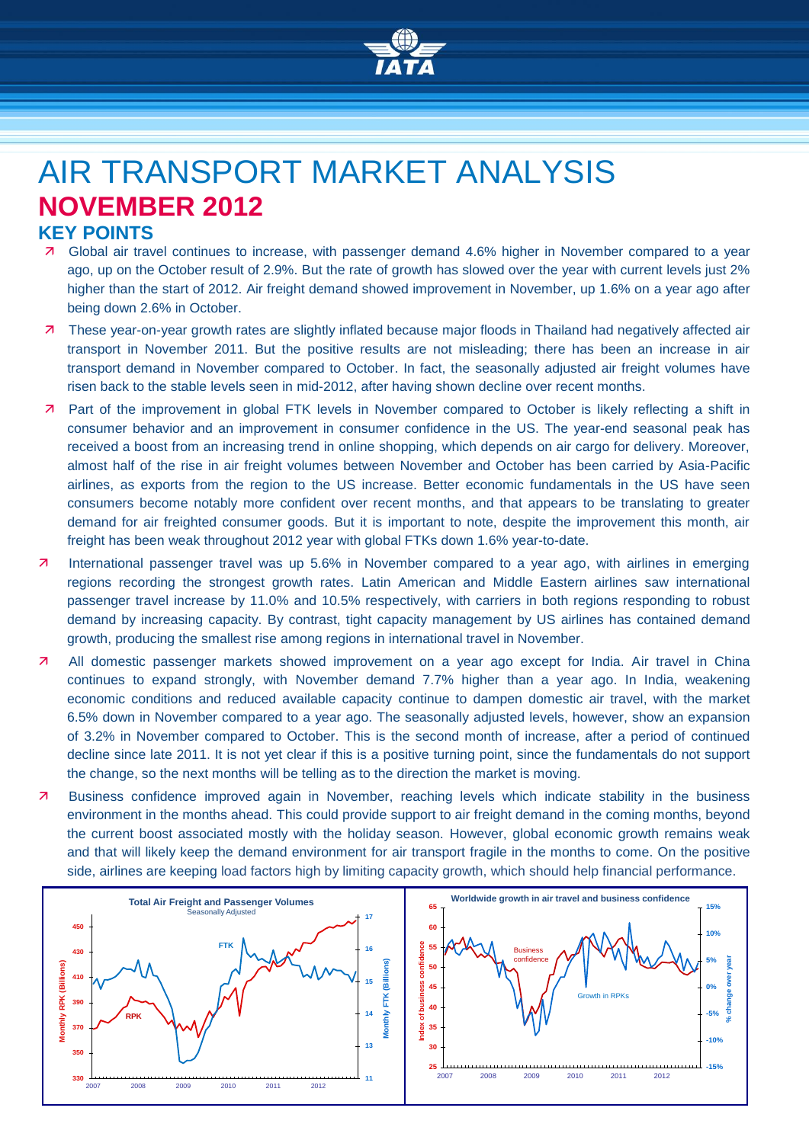

# AIR TRANSPORT MARKET ANALYSIS **NOVEMBER 2012**

### **KEY POINTS**

- Global air travel continues to increase, with passenger demand 4.6% higher in November compared to a year ago, up on the October result of 2.9%. But the rate of growth has slowed over the year with current levels just 2% higher than the start of 2012. Air freight demand showed improvement in November, up 1.6% on a year ago after being down 2.6% in October.
- These year-on-year growth rates are slightly inflated because major floods in Thailand had negatively affected air transport in November 2011. But the positive results are not misleading; there has been an increase in air transport demand in November compared to October. In fact, the seasonally adjusted air freight volumes have risen back to the stable levels seen in mid-2012, after having shown decline over recent months.
- Part of the improvement in global FTK levels in November compared to October is likely reflecting a shift in consumer behavior and an improvement in consumer confidence in the US. The year-end seasonal peak has received a boost from an increasing trend in online shopping, which depends on air cargo for delivery. Moreover, almost half of the rise in air freight volumes between November and October has been carried by Asia-Pacific airlines, as exports from the region to the US increase. Better economic fundamentals in the US have seen consumers become notably more confident over recent months, and that appears to be translating to greater demand for air freighted consumer goods. But it is important to note, despite the improvement this month, air freight has been weak throughout 2012 year with global FTKs down 1.6% year-to-date.
- International passenger travel was up 5.6% in November compared to a year ago, with airlines in emerging regions recording the strongest growth rates. Latin American and Middle Eastern airlines saw international passenger travel increase by 11.0% and 10.5% respectively, with carriers in both regions responding to robust demand by increasing capacity. By contrast, tight capacity management by US airlines has contained demand growth, producing the smallest rise among regions in international travel in November.
- 7 All domestic passenger markets showed improvement on a year ago except for India. Air travel in China continues to expand strongly, with November demand 7.7% higher than a year ago. In India, weakening economic conditions and reduced available capacity continue to dampen domestic air travel, with the market 6.5% down in November compared to a year ago. The seasonally adjusted levels, however, show an expansion of 3.2% in November compared to October. This is the second month of increase, after a period of continued decline since late 2011. It is not yet clear if this is a positive turning point, since the fundamentals do not support the change, so the next months will be telling as to the direction the market is moving.
- Business confidence improved again in November, reaching levels which indicate stability in the business environment in the months ahead. This could provide support to air freight demand in the coming months, beyond the current boost associated mostly with the holiday season. However, global economic growth remains weak and that will likely keep the demand environment for air transport fragile in the months to come. On the positive side, airlines are keeping load factors high by limiting capacity growth, which should help financial performance.

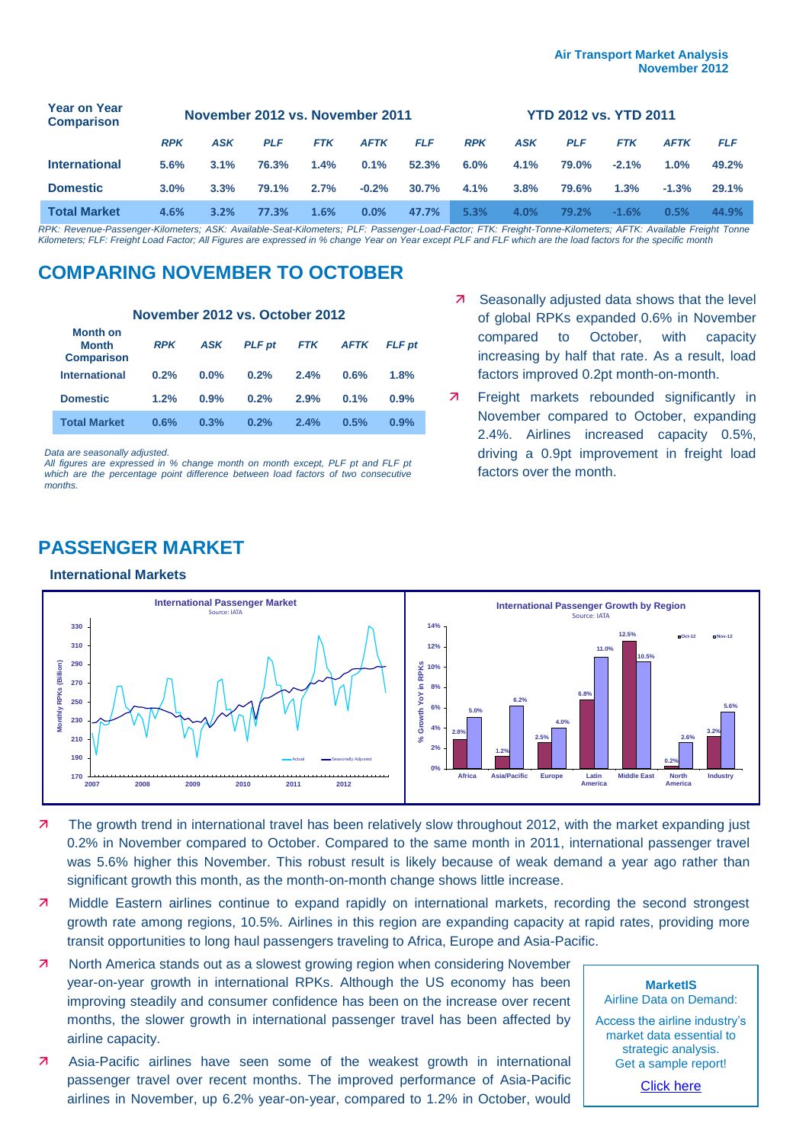| <b>Year on Year</b><br><b>Comparison</b> | November 2012 vs. November 2011 |            |            |            |             |            | <b>YTD 2012 vs. YTD 2011</b> |            |            |            |             |            |
|------------------------------------------|---------------------------------|------------|------------|------------|-------------|------------|------------------------------|------------|------------|------------|-------------|------------|
|                                          | <b>RPK</b>                      | <b>ASK</b> | <b>PLF</b> | <b>FTK</b> | <b>AFTK</b> | <b>FLF</b> | <b>RPK</b>                   | <b>ASK</b> | <b>PLF</b> | <b>FTK</b> | <b>AFTK</b> | <b>FLF</b> |
| <b>International</b>                     | 5.6%                            | $3.1\%$    | 76.3%      | 1.4%       | 0.1%        | 52.3%      | $6.0\%$                      | 4.1%       | 79.0%      | $-2.1%$    | 1.0%        | 49.2%      |
| <b>Domestic</b>                          | 3.0%                            | 3.3%       | 79.1%      | 2.7%       | $-0.2%$     | 30.7%      | 4.1%                         | 3.8%       | 79.6%      | 1.3%       | $-1.3%$     | 29.1%      |
| <b>Total Market</b>                      | 4.6%                            | 3.2%       | 77.3%      | 1.6%       | 0.0%        | 47.7%      | 5.3%                         | 4.0%       | 79.2%      | $-1.6%$    | 0.5%        | 44.9%      |

*RPK: Revenue-Passenger-Kilometers; ASK: Available-Seat-Kilometers; PLF: Passenger-Load-Factor; FTK: Freight-Tonne-Kilometers; AFTK: Available Freight Tonne Kilometers; FLF: Freight Load Factor; All Figures are expressed in % change Year on Year except PLF and FLF which are the load factors for the specific month*

## **COMPARING NOVEMBER TO OCTOBER**

#### **November 2012 vs. October 2012**

| <b>Month on</b><br><b>Month</b><br><b>Comparison</b> | <b>RPK</b> | ASK     | <b>PLF</b> pt | <b>FTK</b> | <b>AFTK</b> | <b>FLF</b> pt |
|------------------------------------------------------|------------|---------|---------------|------------|-------------|---------------|
| <b>International</b>                                 | 0.2%       | $0.0\%$ | 0.2%          | 2.4%       | 0.6%        | 1.8%          |
| <b>Domestic</b>                                      | 1.2%       | 0.9%    | 0.2%          | 2.9%       | 0.1%        | 0.9%          |
| <b>Total Market</b>                                  | 0.6%       | 0.3%    | 0.2%          | 2.4%       | 0.5%        | 0.9%          |

*Data are seasonally adjusted.*

*All figures are expressed in % change month on month except, PLF pt and FLF pt which are the percentage point difference between load factors of two consecutive months.*

- 7 Seasonally adjusted data shows that the level of global RPKs expanded 0.6% in November compared to October, with capacity increasing by half that rate. As a result, load factors improved 0.2pt month-on-month.
- **7** Freight markets rebounded significantly in November compared to October, expanding 2.4%. Airlines increased capacity 0.5%, driving a 0.9pt improvement in freight load factors over the month.

## **PASSENGER MARKET**

#### **International Markets**



- 7 The growth trend in international travel has been relatively slow throughout 2012, with the market expanding just 0.2% in November compared to October. Compared to the same month in 2011, international passenger travel was 5.6% higher this November. This robust result is likely because of weak demand a year ago rather than significant growth this month, as the month-on-month change shows little increase.
- **7** Middle Eastern airlines continue to expand rapidly on international markets, recording the second strongest growth rate among regions, 10.5%. Airlines in this region are expanding capacity at rapid rates, providing more transit opportunities to long haul passengers traveling to Africa, Europe and Asia-Pacific.
- **7** North America stands out as a slowest growing region when considering November year-on-year growth in international RPKs. Although the US economy has been improving steadily and consumer confidence has been on the increase over recent months, the slower growth in international passenger travel has been affected by airline capacity.
- Asia-Pacific airlines have seen some of the weakest growth in international passenger travel over recent months. The improved performance of Asia-Pacific airlines in November, up 6.2% year-on-year, compared to 1.2% in October, would

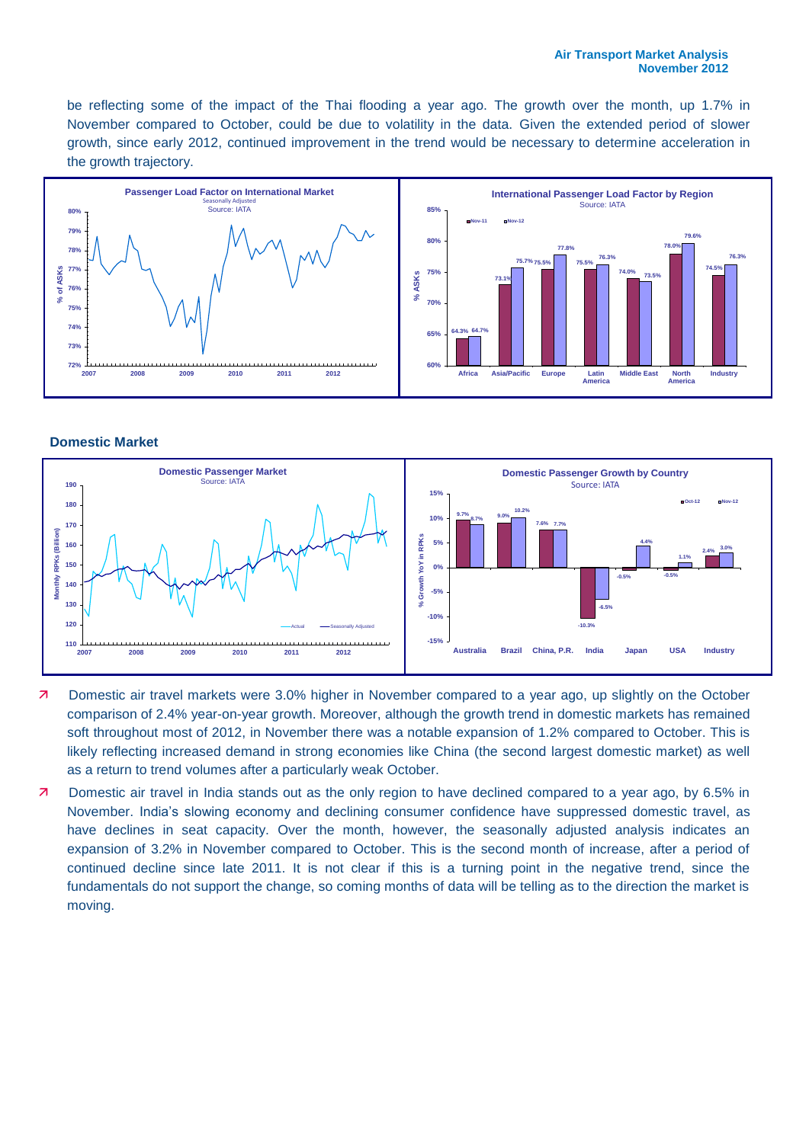be reflecting some of the impact of the Thai flooding a year ago. The growth over the month, up 1.7% in November compared to October, could be due to volatility in the data. Given the extended period of slower growth, since early 2012, continued improvement in the trend would be necessary to determine acceleration in the growth trajectory.



**Domestic Market**



- **7** Domestic air travel markets were 3.0% higher in November compared to a year ago, up slightly on the October comparison of 2.4% year-on-year growth. Moreover, although the growth trend in domestic markets has remained soft throughout most of 2012, in November there was a notable expansion of 1.2% compared to October. This is likely reflecting increased demand in strong economies like China (the second largest domestic market) as well as a return to trend volumes after a particularly weak October.
- Domestic air travel in India stands out as the only region to have declined compared to a year ago, by 6.5% in November. India's slowing economy and declining consumer confidence have suppressed domestic travel, as have declines in seat capacity. Over the month, however, the seasonally adjusted analysis indicates an expansion of 3.2% in November compared to October. This is the second month of increase, after a period of continued decline since late 2011. It is not clear if this is a turning point in the negative trend, since the fundamentals do not support the change, so coming months of data will be telling as to the direction the market is moving.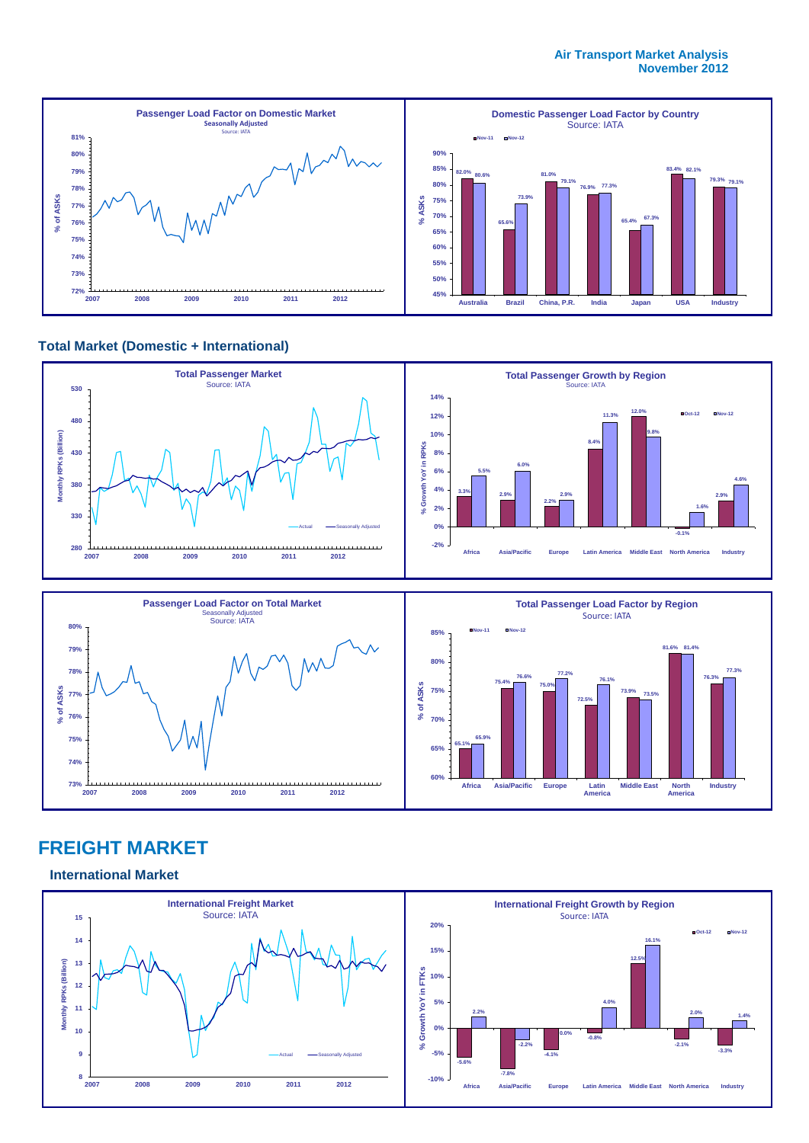#### **Air Transport Market Analysis November 2012**



#### **Total Market (Domestic + International)**





## **FREIGHT MARKET**

#### **International Market**

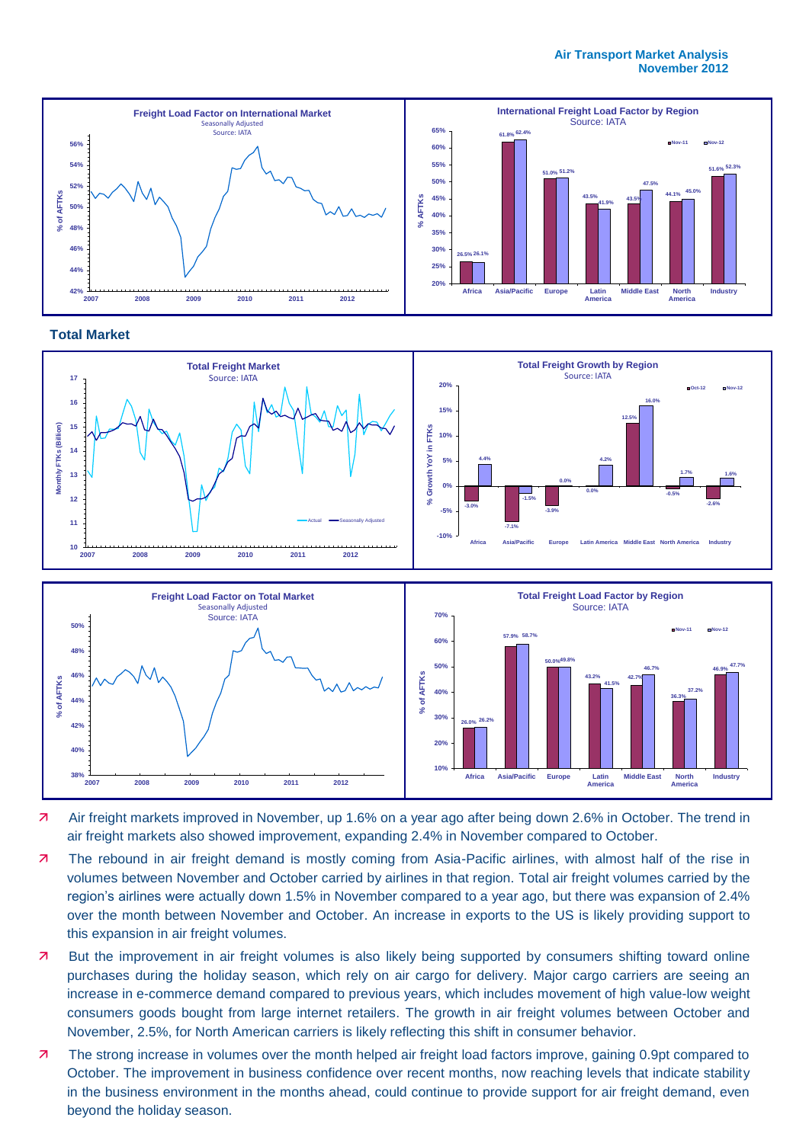#### **Air Transport Market Analysis November 2012**









- Air freight markets improved in November, up 1.6% on a year ago after being down 2.6% in October. The trend in air freight markets also showed improvement, expanding 2.4% in November compared to October.
- 7 The rebound in air freight demand is mostly coming from Asia-Pacific airlines, with almost half of the rise in volumes between November and October carried by airlines in that region. Total air freight volumes carried by the region's airlines were actually down 1.5% in November compared to a year ago, but there was expansion of 2.4% over the month between November and October. An increase in exports to the US is likely providing support to this expansion in air freight volumes.
- But the improvement in air freight volumes is also likely being supported by consumers shifting toward online purchases during the holiday season, which rely on air cargo for delivery. Major cargo carriers are seeing an increase in e-commerce demand compared to previous years, which includes movement of high value-low weight consumers goods bought from large internet retailers. The growth in air freight volumes between October and November, 2.5%, for North American carriers is likely reflecting this shift in consumer behavior.
- **7** The strong increase in volumes over the month helped air freight load factors improve, gaining 0.9pt compared to October. The improvement in business confidence over recent months, now reaching levels that indicate stability in the business environment in the months ahead, could continue to provide support for air freight demand, even beyond the holiday season.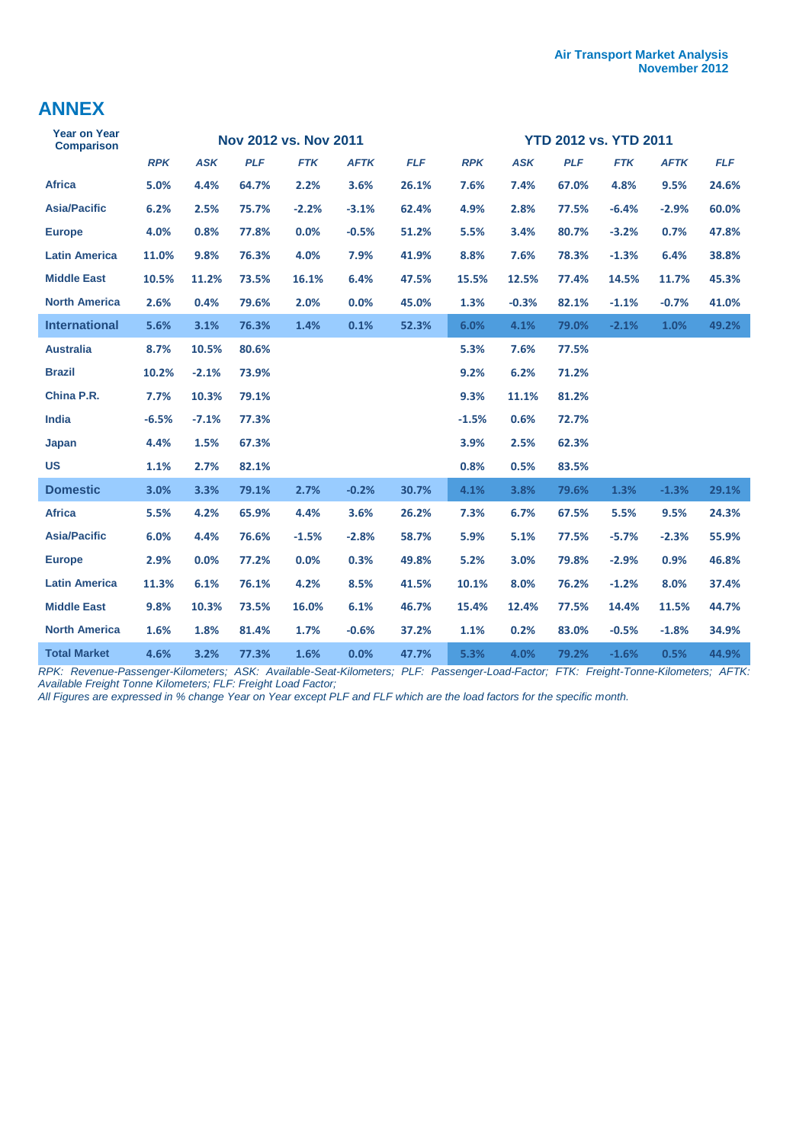## **ANNEX**

| <b>Year on Year</b><br><b>Comparison</b> |            |            |            | Nov 2012 vs. Nov 2011 |             |            | <b>YTD 2012 vs. YTD 2011</b> |            |            |            |             |            |
|------------------------------------------|------------|------------|------------|-----------------------|-------------|------------|------------------------------|------------|------------|------------|-------------|------------|
|                                          | <b>RPK</b> | <b>ASK</b> | <b>PLF</b> | <b>FTK</b>            | <b>AFTK</b> | <b>FLF</b> | <b>RPK</b>                   | <b>ASK</b> | <b>PLF</b> | <b>FTK</b> | <b>AFTK</b> | <b>FLF</b> |
| <b>Africa</b>                            | 5.0%       | 4.4%       | 64.7%      | 2.2%                  | 3.6%        | 26.1%      | 7.6%                         | 7.4%       | 67.0%      | 4.8%       | 9.5%        | 24.6%      |
| <b>Asia/Pacific</b>                      | 6.2%       | 2.5%       | 75.7%      | $-2.2%$               | $-3.1%$     | 62.4%      | 4.9%                         | 2.8%       | 77.5%      | $-6.4%$    | $-2.9%$     | 60.0%      |
| <b>Europe</b>                            | 4.0%       | 0.8%       | 77.8%      | 0.0%                  | $-0.5%$     | 51.2%      | 5.5%                         | 3.4%       | 80.7%      | $-3.2%$    | 0.7%        | 47.8%      |
| <b>Latin America</b>                     | 11.0%      | 9.8%       | 76.3%      | 4.0%                  | 7.9%        | 41.9%      | 8.8%                         | 7.6%       | 78.3%      | $-1.3%$    | 6.4%        | 38.8%      |
| <b>Middle East</b>                       | 10.5%      | 11.2%      | 73.5%      | 16.1%                 | 6.4%        | 47.5%      | 15.5%                        | 12.5%      | 77.4%      | 14.5%      | 11.7%       | 45.3%      |
| <b>North America</b>                     | 2.6%       | 0.4%       | 79.6%      | 2.0%                  | 0.0%        | 45.0%      | 1.3%                         | $-0.3%$    | 82.1%      | $-1.1%$    | $-0.7%$     | 41.0%      |
| <b>International</b>                     | 5.6%       | 3.1%       | 76.3%      | 1.4%                  | 0.1%        | 52.3%      | 6.0%                         | 4.1%       | 79.0%      | $-2.1%$    | 1.0%        | 49.2%      |
| <b>Australia</b>                         | 8.7%       | 10.5%      | 80.6%      |                       |             |            | 5.3%                         | 7.6%       | 77.5%      |            |             |            |
| <b>Brazil</b>                            | 10.2%      | $-2.1%$    | 73.9%      |                       |             |            | 9.2%                         | 6.2%       | 71.2%      |            |             |            |
| China P.R.                               | 7.7%       | 10.3%      | 79.1%      |                       |             |            | 9.3%                         | 11.1%      | 81.2%      |            |             |            |
| India                                    | $-6.5%$    | $-7.1%$    | 77.3%      |                       |             |            | $-1.5%$                      | 0.6%       | 72.7%      |            |             |            |
| Japan                                    | 4.4%       | 1.5%       | 67.3%      |                       |             |            | 3.9%                         | 2.5%       | 62.3%      |            |             |            |
| <b>US</b>                                | 1.1%       | 2.7%       | 82.1%      |                       |             |            | 0.8%                         | 0.5%       | 83.5%      |            |             |            |
| <b>Domestic</b>                          | 3.0%       | 3.3%       | 79.1%      | 2.7%                  | $-0.2%$     | 30.7%      | 4.1%                         | 3.8%       | 79.6%      | 1.3%       | $-1.3%$     | 29.1%      |
| <b>Africa</b>                            | 5.5%       | 4.2%       | 65.9%      | 4.4%                  | 3.6%        | 26.2%      | 7.3%                         | 6.7%       | 67.5%      | 5.5%       | 9.5%        | 24.3%      |
| <b>Asia/Pacific</b>                      | 6.0%       | 4.4%       | 76.6%      | $-1.5%$               | $-2.8%$     | 58.7%      | 5.9%                         | 5.1%       | 77.5%      | $-5.7%$    | $-2.3%$     | 55.9%      |
| <b>Europe</b>                            | 2.9%       | 0.0%       | 77.2%      | 0.0%                  | 0.3%        | 49.8%      | 5.2%                         | 3.0%       | 79.8%      | $-2.9%$    | 0.9%        | 46.8%      |
| <b>Latin America</b>                     | 11.3%      | 6.1%       | 76.1%      | 4.2%                  | 8.5%        | 41.5%      | 10.1%                        | 8.0%       | 76.2%      | $-1.2%$    | 8.0%        | 37.4%      |
| <b>Middle East</b>                       | 9.8%       | 10.3%      | 73.5%      | 16.0%                 | 6.1%        | 46.7%      | 15.4%                        | 12.4%      | 77.5%      | 14.4%      | 11.5%       | 44.7%      |
| <b>North America</b>                     | 1.6%       | 1.8%       | 81.4%      | 1.7%                  | $-0.6%$     | 37.2%      | 1.1%                         | 0.2%       | 83.0%      | $-0.5%$    | $-1.8%$     | 34.9%      |
| <b>Total Market</b>                      | 4.6%       | 3.2%       | 77.3%      | 1.6%                  | 0.0%        | 47.7%      | 5.3%                         | 4.0%       | 79.2%      | $-1.6%$    | 0.5%        | 44.9%      |

*RPK: Revenue-Passenger-Kilometers; ASK: Available-Seat-Kilometers; PLF: Passenger-Load-Factor; FTK: Freight-Tonne-Kilometers; AFTK: Available Freight Tonne Kilometers; FLF: Freight Load Factor;* 

*All Figures are expressed in % change Year on Year except PLF and FLF which are the load factors for the specific month.*